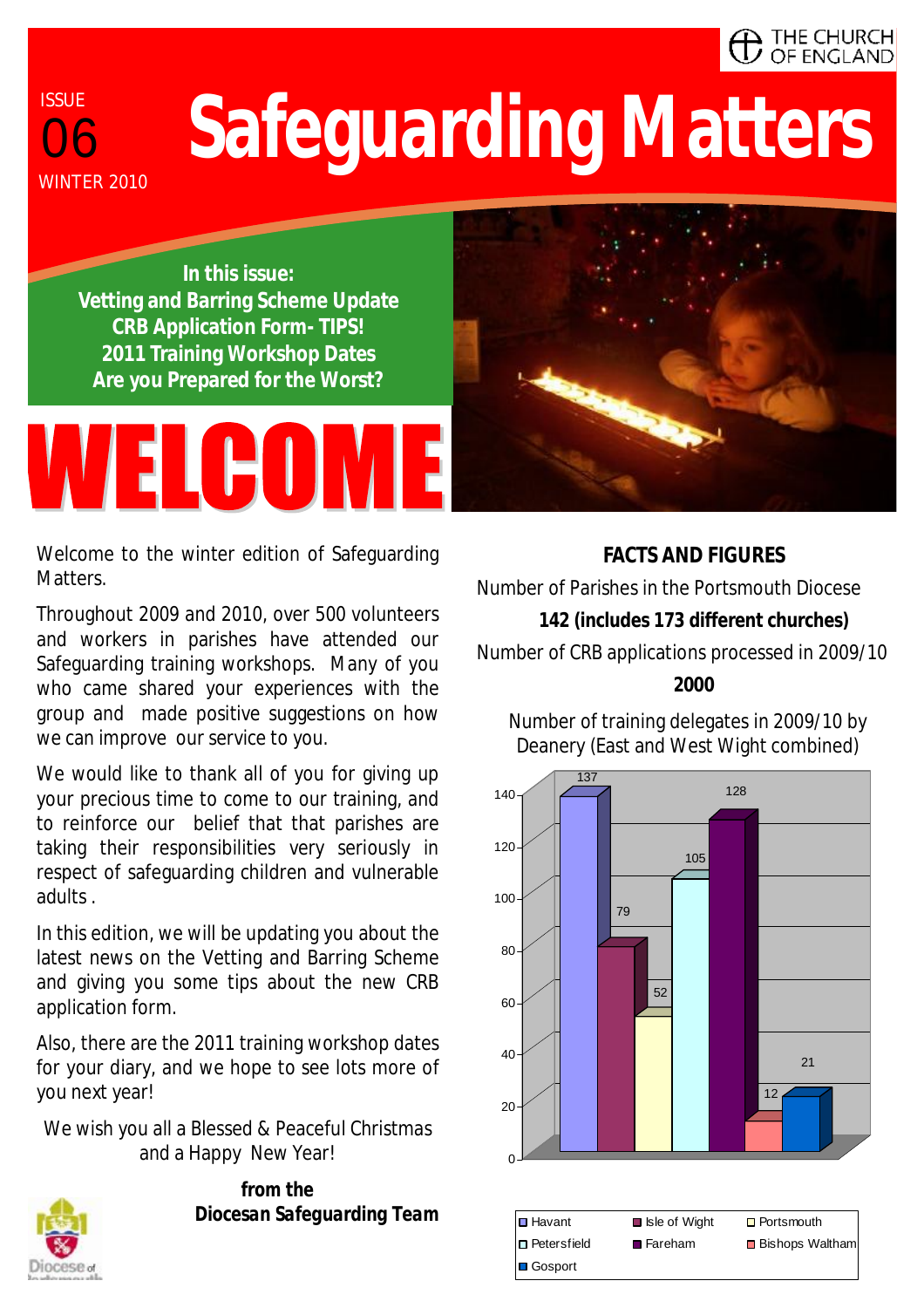#### $\blacksquare$  The Church OF ENGLAND

## **Safeguarding Matters**

**In this issue: Vetting and Barring Scheme Update CRB Application Form- TIPS! 2011 Training Workshop Dates Are you Prepared for the Worst?** 

# WELGOME



Welcome to the winter edition of Safeguarding Matters.

Throughout 2009 and 2010, over 500 volunteers and workers in parishes have attended our Safeguarding training workshops. Many of you who came shared your experiences with the group and made positive suggestions on how we can improve our service to you.

We would like to thank all of you for giving up your precious time to come to our training, and to reinforce our belief that that parishes are taking their responsibilities very seriously in respect of safeguarding children and vulnerable adults .

In this edition, we will be updating you about the latest news on the Vetting and Barring Scheme and giving you some tips about the new CRB application form.

Also, there are the 2011 training workshop dates for your diary, and we hope to see lots more of you next year!

We wish you all a Blessed & Peaceful Christmas and a Happy New Year!



*from the Diocesan Safeguarding Team* 

**FACTS AND FIGURES**  Number of Parishes in the Portsmouth Diocese **142 (includes 173 different churches)**  Number of CRB applications processed in 2009/10 **2000** 

Number of training delegates in 2009/10 by Deanery (East and West Wight combined)

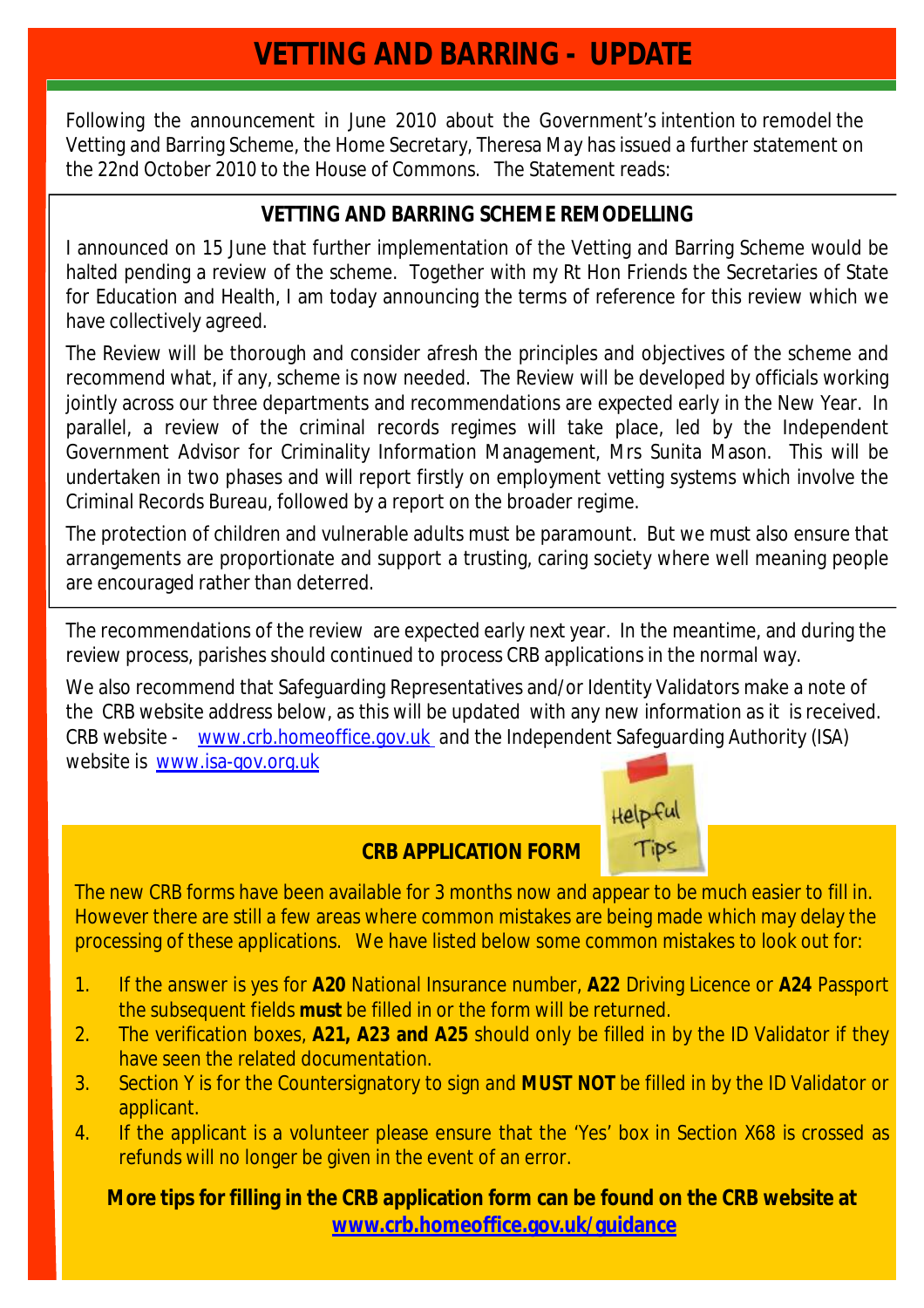#### **VETTING AND BARRING - UPDATE**

Following the announcement in June 2010 about the Government's intention to remodel the Vetting and Barring Scheme, the Home Secretary, Theresa May has issued a further statement on the 22nd October 2010 to the House of Commons. The Statement reads:

#### **VETTING AND BARRING SCHEME REMODELLING**

I announced on 15 June that further implementation of the Vetting and Barring Scheme would be halted pending a review of the scheme. Together with my Rt Hon Friends the Secretaries of State for Education and Health, I am today announcing the terms of reference for this review which we have collectively agreed.

The Review will be thorough and consider afresh the principles and objectives of the scheme and recommend what, if any, scheme is now needed. The Review will be developed by officials working jointly across our three departments and recommendations are expected early in the New Year. In parallel, a review of the criminal records regimes will take place, led by the Independent Government Advisor for Criminality Information Management, Mrs Sunita Mason. This will be undertaken in two phases and will report firstly on employment vetting systems which involve the Criminal Records Bureau, followed by a report on the broader regime.

The protection of children and vulnerable adults must be paramount. But we must also ensure that arrangements are proportionate and support a trusting, caring society where well meaning people are encouraged rather than deterred.

The recommendations of the review are expected early next year. In the meantime, and during the review process, parishes should continued to process CRB applications in the normal way.

We also recommend that Safeguarding Representatives and/or Identity Validators make a note of the CRB website address below, as this will be updated with any new information as it is received. CRB website - [www.crb.homeoffice.gov.uk](http://www.crb.homeoffice.gov.uk) and the Independent Safeguarding Authority (ISA) website is [www.isa-gov.org.uk](http://www.isa-gov.org.uk)



#### **CRB APPLICATION FORM**

The new CRB forms have been available for 3 months now and appear to be much easier to fill in. However there are still a few areas where common mistakes are being made which may delay the processing of these applications. We have listed below some common mistakes to look out for:

- 1. If the answer is yes for **A20** National Insurance number, **A22** Driving Licence or **A24** Passport the subsequent fields **must** be filled in or the form will be returned.
- 2. The verification boxes, **A21, A23 and A25** should only be filled in by the ID Validator if they have seen the related documentation.
- 3. Section Y is for the Countersignatory to sign and **MUST NOT** be filled in by the ID Validator or applicant.
- 4. If the applicant is a volunteer please ensure that the 'Yes' box in Section X68 is crossed as refunds will no longer be given in the event of an error.

**More tips for filling in the CRB application form can be found on the CRB website at [www.crb.homeoffice.gov.uk/guidance](http://www.crb.homeoffice.gov.uk/guidance)**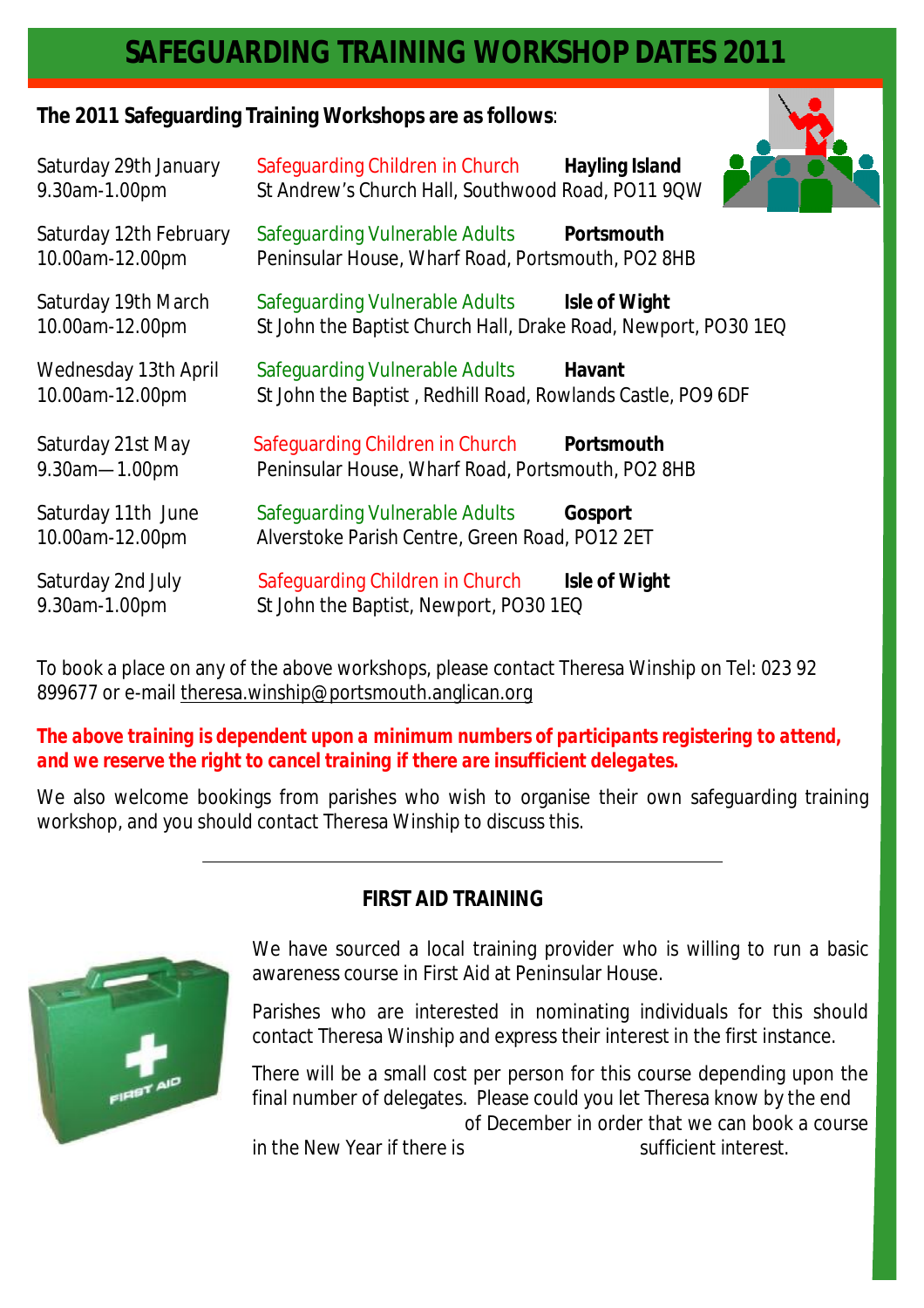#### **SAFEGUARDING TRAINING WORKSHOP DATES 2011**

**The 2011 Safeguarding Training Workshops are as follows**:

| Saturday 29th January<br>9.30am-1.00pm         | Safeguarding Children in Church<br>St Andrew's Church Hall, Southwood Road, PO11 9QW                           | <b>Hayling Island</b> |
|------------------------------------------------|----------------------------------------------------------------------------------------------------------------|-----------------------|
| Saturday 12th February<br>10.00am-12.00pm      | Safequarding Vulnerable Adults Portsmouth<br>Peninsular House, Wharf Road, Portsmouth, PO2 8HB                 |                       |
| Saturday 19th March<br>10.00am-12.00pm         | Safeguarding Vulnerable Adults Isle of Wight<br>St John the Baptist Church Hall, Drake Road, Newport, PO30 1EQ |                       |
| <b>Wednesday 13th April</b><br>10.00am-12.00pm | Safeguarding Vulnerable Adults<br>St John the Baptist, Redhill Road, Rowlands Castle, PO9 6DF                  | Havant                |
| Saturday 21st May<br>9.30am-1.00pm             | Safeguarding Children in Church<br>Peninsular House, Wharf Road, Portsmouth, PO2 8HB                           | Portsmouth            |
| Saturday 11th June<br>10.00am-12.00pm          | Safeguarding Vulnerable Adults<br>Alverstoke Parish Centre, Green Road, PO12 2ET                               | Gosport               |
| Saturday 2nd July<br>9.30am-1.00pm             | Safeguarding Children in Church<br>St John the Baptist, Newport, PO30 1EQ                                      | Isle of Wight         |

To book a place on any of the above workshops, please contact Theresa Winship on Tel: 023 92 899677 or e-mail [theresa.winship@portsmouth.anglican.org](mailto:theresa.winship@portsmouth.anglican.org)

*The above training is dependent upon a minimum numbers of participants registering to attend, and we reserve the right to cancel training if there are insufficient delegates.* 

We also welcome bookings from parishes who wish to organise their own safeguarding training workshop, and you should contact Theresa Winship to discuss this.

#### **FIRST AID TRAINING**



We have sourced a local training provider who is willing to run a basic awareness course in First Aid at Peninsular House.

Parishes who are interested in nominating individuals for this should contact Theresa Winship and express their interest in the first instance.

There will be a small cost per person for this course depending upon the final number of delegates. Please could you let Theresa know by the end of December in order that we can book a course

in the New Year if there is sufficient interest.